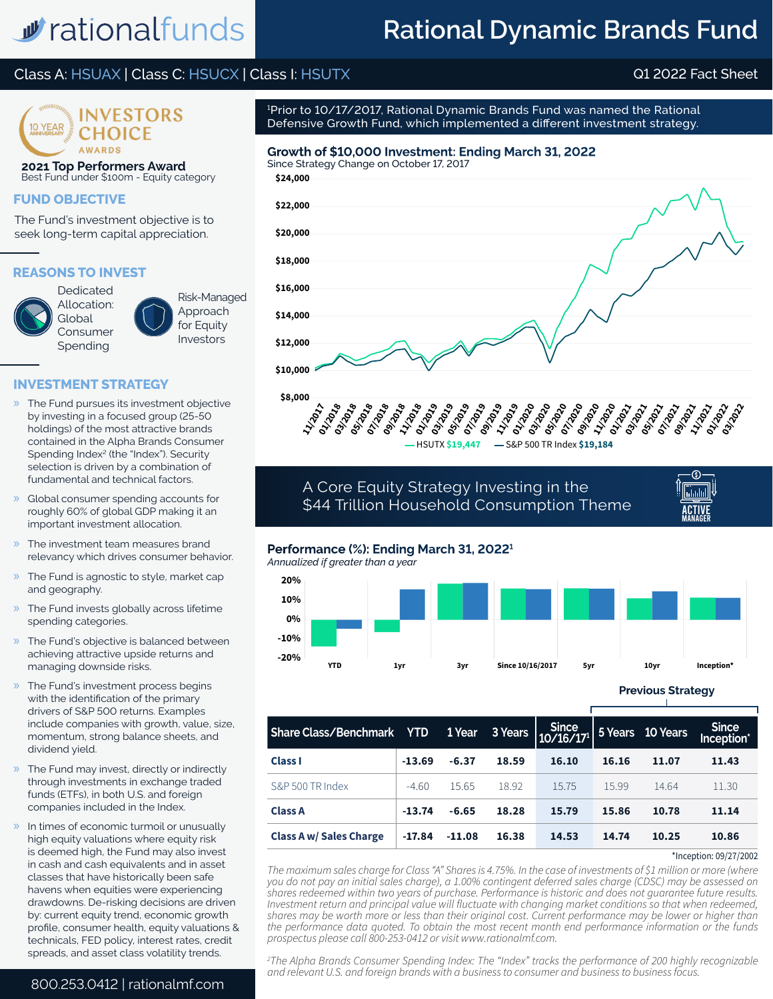# w rationalfunds

# **Rational Dynamic Brands Fund**

# Class A: HSUAX | Class C: HSUCX | Class I: HSUTX Q1 2022 Fact Sheet



**2021 Top Performers Award** Best Fund under \$100m - Equity category

### **FUND OBJECTIVE**

The Fund's investment objective is to seek long-term capital appreciation.

#### **REASONS TO INVEST**



Allocation: Global Consumer Spending

Risk-Managed Approach for Equity Investors

#### **INVESTMENT STRATEGY**

- » The Fund pursues its investment objective by investing in a focused group (25-50 holdings) of the most attractive brands contained in the Alpha Brands Consumer Spending Index<sup>2</sup> (the "Index"). Security selection is driven by a combination of fundamental and technical factors.
- » Global consumer spending accounts for roughly 60% of global GDP making it an important investment allocation.
- The investment team measures brand relevancy which drives consumer behavior.
- The Fund is agnostic to style, market cap and geography.
- » The Fund invests globally across lifetime spending categories.
- » The Fund's objective is balanced between achieving attractive upside returns and managing downside risks.
- The Fund's investment process begins with the identification of the primary drivers of S&P 500 returns. Examples include companies with growth, value, size, momentum, strong balance sheets, and dividend yield.
- The Fund may invest, directly or indirectly through investments in exchange traded funds (ETFs), in both U.S. and foreign companies included in the Index.
- » In times of economic turmoil or unusually high equity valuations where equity risk is deemed high, the Fund may also invest in cash and cash equivalents and in asset classes that have historically been safe havens when equities were experiencing drawdowns. De-risking decisions are driven by: current equity trend, economic growth profile, consumer health, equity valuations & technicals, FED policy, interest rates, credit spreads, and asset class volatility trends.

800.253.0412 | rationalmf.com

1 Prior to 10/17/2017, Rational Dynamic Brands Fund was named the Rational Defensive Growth Fund, which implemented a different investment strategy.

### **Growth of \$10,000 Investment: Ending March 31, 2022**







A Core Equity Strategy Investing in the \$44 Trillion Household Consumption Theme



### **Performance (%): Ending March 31, 20221**

*Annualized if greater than a year*



**Previous Strategy**

| <b>Share Class/Benchmark YTD</b> |          | 1 Year   |       | $\overline{\left \begin{array}{cc}3\text{ Years}\\10/16/17\end{array}\right }$ 5 Years 10 Years |       |       | <b>Since</b><br>Inception* |
|----------------------------------|----------|----------|-------|-------------------------------------------------------------------------------------------------|-------|-------|----------------------------|
| <b>Class I</b>                   | $-13.69$ | $-6.37$  | 18.59 | 16.10                                                                                           | 16.16 | 11.07 | 11.43                      |
| S&P 500 TR Index                 | $-4.60$  | 15.65    | 18.92 | 15.75                                                                                           | 15.99 | 14.64 | 11.30                      |
| <b>Class A</b>                   | $-13.74$ | $-6.65$  | 18.28 | 15.79                                                                                           | 15.86 | 10.78 | 11.14                      |
| <b>Class A w/ Sales Charge</b>   | $-17.84$ | $-11.08$ | 16.38 | 14.53                                                                                           | 14.74 | 10.25 | 10.86                      |

\*Inception: 09/27/2002

The maximum sales charge for Class "A" Shares is 4.75%. In the case of investments of \$1 million or more (where *you do not pay an initial sales charge), a 1.00% contingent deferred sales charge (CDSC) may be assessed on shares redeemed within two years of purchase. Performance is historic and does not guarantee future results. Investment return and principal value will fluctuate with changing market conditions so that when redeemed, shares may be worth more or less than their original cost. Current performance may be lower or higher than the performance data quoted. To obtain the most recent month end performance information or the funds prospectus please call 800-253-0412 or visit www.rationalmf.com.*

*2 The Alpha Brands Consumer Spending Index: The "Index" tracks the performance of 200 highly recognizable and relevant U.S. and foreign brands with a business to consumer and business to business focus.*